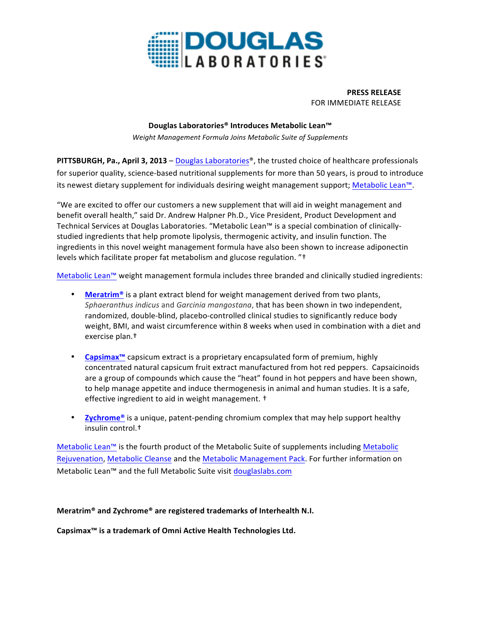

**PRESS RELEASE** FOR IMMEDIATE RELEASE

## **Douglas Laboratories® Introduces Metabolic Lean™**

*Weight Management Formula Joins Metabolic Suite of Supplements*

**PITTSBURGH, Pa., April 3, 2013** – Douglas Laboratories®, the trusted choice of healthcare professionals for superior quality, science-based nutritional supplements for more than 50 years, is proud to introduce its newest dietary supplement for individuals desiring weight management support; Metabolic Lean™.

"We are excited to offer our customers a new supplement that will aid in weight management and benefit overall health," said Dr. Andrew Halpner Ph.D., Vice President, Product Development and Technical Services at Douglas Laboratories. "Metabolic Lean™ is a special combination of clinicallystudied ingredients that help promote lipolysis, thermogenic activity, and insulin function. The ingredients in this novel weight management formula have also been shown to increase adiponectin levels which facilitate proper fat metabolism and glucose regulation. "†

Metabolic Lean™ weight management formula includes three branded and clinically studied ingredients:

- **Meratrim<sup>®</sup>** is a plant extract blend for weight management derived from two plants, *Sphaeranthus indicus* and *Garcinia mangostana*, that has been shown in two independent, randomized, double-blind, placebo-controlled clinical studies to significantly reduce body weight, BMI, and waist circumference within 8 weeks when used in combination with a diet and exercise plan.<sup>†</sup>
- **Capsimax<sup>™</sup>** capsicum extract is a proprietary encapsulated form of premium, highly concentrated natural capsicum fruit extract manufactured from hot red peppers. Capsaicinoids are a group of compounds which cause the "heat" found in hot peppers and have been shown, to help manage appetite and induce thermogenesis in animal and human studies. It is a safe, effective ingredient to aid in weight management.  $\dagger$
- **Zychrome<sup>®</sup>** is a unique, patent-pending chromium complex that may help support healthy insulin control.†

Metabolic Lean™ is the fourth product of the Metabolic Suite of supplements including Metabolic Rejuvenation, Metabolic Cleanse and the Metabolic Management Pack. For further information on Metabolic Lean™ and the full Metabolic Suite visit douglaslabs.com

**Meratrim® and Zychrome® are registered trademarks of Interhealth N.I.**

**Capsimax™ is a trademark of Omni Active Health Technologies Ltd.**